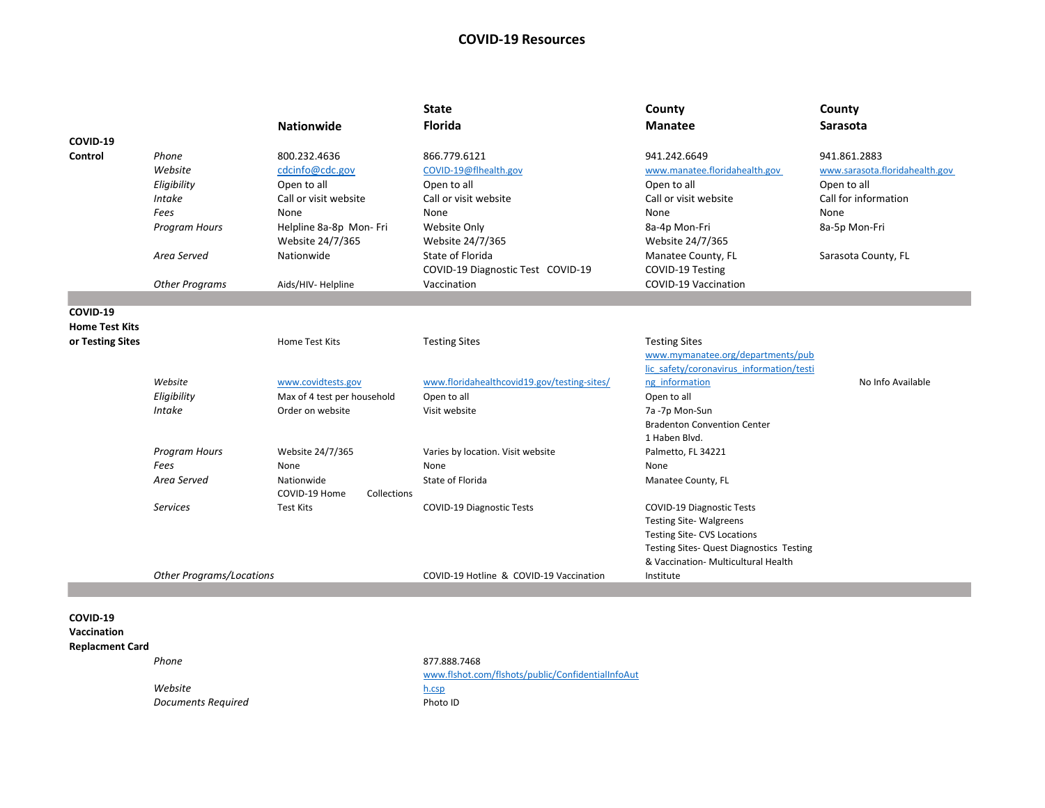## **COVID-19 Resources**

|                                                          |                                 | <b>Nationwide</b>                           | <b>State</b><br><b>Florida</b>                        | County<br><b>Manatee</b>                 | County<br><b>Sarasota</b>           |
|----------------------------------------------------------|---------------------------------|---------------------------------------------|-------------------------------------------------------|------------------------------------------|-------------------------------------|
| COVID-19                                                 |                                 |                                             |                                                       |                                          |                                     |
| Control                                                  | Phone<br>Website                | 800.232.4636                                | 866.779.6121                                          | 941.242.6649                             | 941.861.2883                        |
|                                                          |                                 | cdcinfo@cdc.gov                             | COVID-19@flhealth.gov                                 | www.manatee.floridahealth.gov            | www.sarasota.floridahealth.gov      |
|                                                          | Eligibility                     | Open to all                                 | Open to all                                           | Open to all                              | Open to all<br>Call for information |
|                                                          | <b>Intake</b>                   | Call or visit website                       | Call or visit website                                 | Call or visit website                    |                                     |
|                                                          | Fees                            | None                                        | None                                                  | None                                     | None                                |
|                                                          | <b>Program Hours</b>            | Helpline 8a-8p Mon- Fri<br>Website 24/7/365 | Website Only<br>Website 24/7/365                      | 8a-4p Mon-Fri<br>Website 24/7/365        | 8a-5p Mon-Fri                       |
|                                                          | Area Served                     | Nationwide                                  | State of Florida<br>COVID-19 Diagnostic Test COVID-19 | Manatee County, FL<br>COVID-19 Testing   | Sarasota County, FL                 |
|                                                          | <b>Other Programs</b>           | Aids/HIV- Helpline                          | Vaccination                                           | COVID-19 Vaccination                     |                                     |
|                                                          |                                 |                                             |                                                       |                                          |                                     |
| COVID-19                                                 |                                 |                                             |                                                       |                                          |                                     |
| <b>Home Test Kits</b>                                    |                                 |                                             |                                                       |                                          |                                     |
| or Testing Sites                                         |                                 | Home Test Kits                              | <b>Testing Sites</b>                                  | <b>Testing Sites</b>                     |                                     |
|                                                          |                                 |                                             |                                                       | www.mymanatee.org/departments/pub        |                                     |
|                                                          |                                 |                                             |                                                       | lic safety/coronavirus information/testi |                                     |
|                                                          | Website                         | www.covidtests.gov                          | www.floridahealthcovid19.gov/testing-sites/           | ng information                           | No Info Available                   |
|                                                          | Eligibility                     | Max of 4 test per household                 | Open to all                                           | Open to all                              |                                     |
|                                                          | <b>Intake</b>                   | Order on website                            | Visit website                                         | 7a -7p Mon-Sun                           |                                     |
|                                                          |                                 |                                             |                                                       | <b>Bradenton Convention Center</b>       |                                     |
|                                                          |                                 |                                             |                                                       | 1 Haben Blvd.                            |                                     |
|                                                          | Program Hours                   | Website 24/7/365                            | Varies by location. Visit website                     | Palmetto, FL 34221                       |                                     |
|                                                          | Fees                            | None                                        | None                                                  | None                                     |                                     |
|                                                          | Area Served                     | Nationwide                                  | State of Florida                                      | Manatee County, FL                       |                                     |
|                                                          |                                 | COVID-19 Home<br>Collections                |                                                       |                                          |                                     |
|                                                          | <b>Services</b>                 | <b>Test Kits</b>                            | COVID-19 Diagnostic Tests                             | <b>COVID-19 Diagnostic Tests</b>         |                                     |
|                                                          |                                 |                                             |                                                       | <b>Testing Site-Walgreens</b>            |                                     |
|                                                          |                                 |                                             |                                                       | Testing Site- CVS Locations              |                                     |
|                                                          |                                 |                                             |                                                       | Testing Sites- Quest Diagnostics Testing |                                     |
|                                                          |                                 |                                             |                                                       | & Vaccination- Multicultural Health      |                                     |
|                                                          | <b>Other Programs/Locations</b> |                                             | COVID-19 Hotline & COVID-19 Vaccination               | Institute                                |                                     |
|                                                          |                                 |                                             |                                                       |                                          |                                     |
| COVID-19<br><b>Vaccination</b><br><b>Replacment Card</b> |                                 |                                             |                                                       |                                          |                                     |
|                                                          | Phone                           |                                             | 877.888.7468                                          |                                          |                                     |
|                                                          |                                 |                                             | www.flshot.com/flshots/public/ConfidentialInfoAut     |                                          |                                     |
|                                                          | Website                         |                                             | h.csp                                                 |                                          |                                     |
|                                                          | Documents Required              |                                             | Photo ID                                              |                                          |                                     |